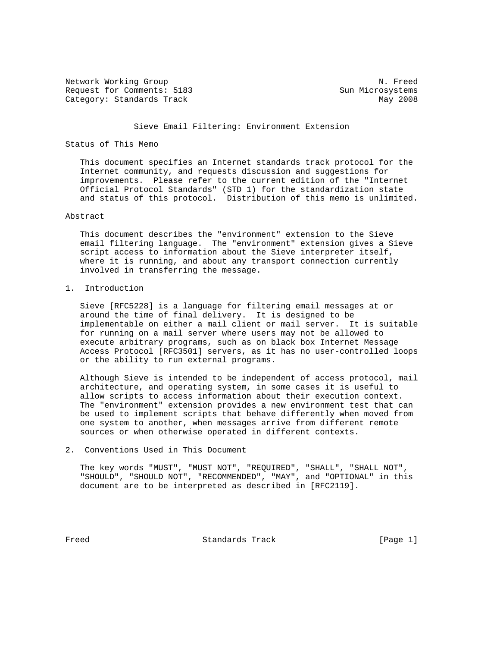Network Working Group Natural Communications of the Natural Communications of Natural Communications of Natural Communications of Natural Communications of Natural Communications of Natural Communications of Natural Commun Request for Comments: 5183 Sun Microsystems Category: Standards Track May 2008

#### Sieve Email Filtering: Environment Extension

### Status of This Memo

 This document specifies an Internet standards track protocol for the Internet community, and requests discussion and suggestions for improvements. Please refer to the current edition of the "Internet Official Protocol Standards" (STD 1) for the standardization state and status of this protocol. Distribution of this memo is unlimited.

#### Abstract

 This document describes the "environment" extension to the Sieve email filtering language. The "environment" extension gives a Sieve script access to information about the Sieve interpreter itself, where it is running, and about any transport connection currently involved in transferring the message.

#### 1. Introduction

 Sieve [RFC5228] is a language for filtering email messages at or around the time of final delivery. It is designed to be implementable on either a mail client or mail server. It is suitable for running on a mail server where users may not be allowed to execute arbitrary programs, such as on black box Internet Message Access Protocol [RFC3501] servers, as it has no user-controlled loops or the ability to run external programs.

 Although Sieve is intended to be independent of access protocol, mail architecture, and operating system, in some cases it is useful to allow scripts to access information about their execution context. The "environment" extension provides a new environment test that can be used to implement scripts that behave differently when moved from one system to another, when messages arrive from different remote sources or when otherwise operated in different contexts.

2. Conventions Used in This Document

 The key words "MUST", "MUST NOT", "REQUIRED", "SHALL", "SHALL NOT", "SHOULD", "SHOULD NOT", "RECOMMENDED", "MAY", and "OPTIONAL" in this document are to be interpreted as described in [RFC2119].

Freed Standards Track [Page 1]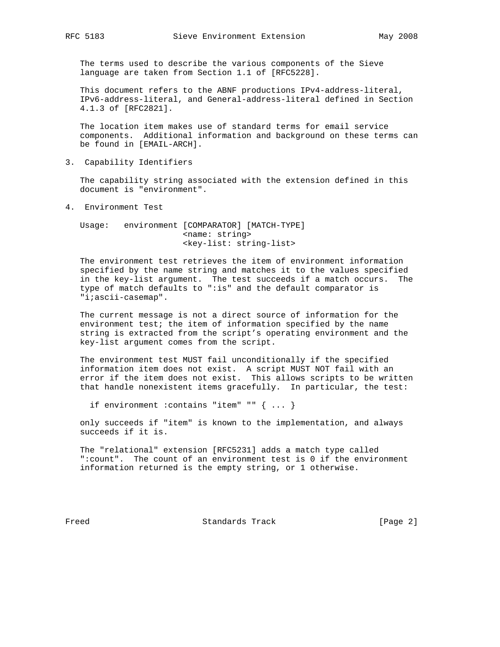The terms used to describe the various components of the Sieve language are taken from Section 1.1 of [RFC5228].

 This document refers to the ABNF productions IPv4-address-literal, IPv6-address-literal, and General-address-literal defined in Section 4.1.3 of [RFC2821].

 The location item makes use of standard terms for email service components. Additional information and background on these terms can be found in [EMAIL-ARCH].

3. Capability Identifiers

 The capability string associated with the extension defined in this document is "environment".

4. Environment Test

 Usage: environment [COMPARATOR] [MATCH-TYPE] <name: string> <key-list: string-list>

 The environment test retrieves the item of environment information specified by the name string and matches it to the values specified in the key-list argument. The test succeeds if a match occurs. The type of match defaults to ":is" and the default comparator is "i;ascii-casemap".

 The current message is not a direct source of information for the environment test; the item of information specified by the name string is extracted from the script's operating environment and the key-list argument comes from the script.

 The environment test MUST fail unconditionally if the specified information item does not exist. A script MUST NOT fail with an error if the item does not exist. This allows scripts to be written that handle nonexistent items gracefully. In particular, the test:

if environment :contains "item" "" { ... }

 only succeeds if "item" is known to the implementation, and always succeeds if it is.

 The "relational" extension [RFC5231] adds a match type called ":count". The count of an environment test is 0 if the environment information returned is the empty string, or 1 otherwise.

Freed Standards Track [Page 2]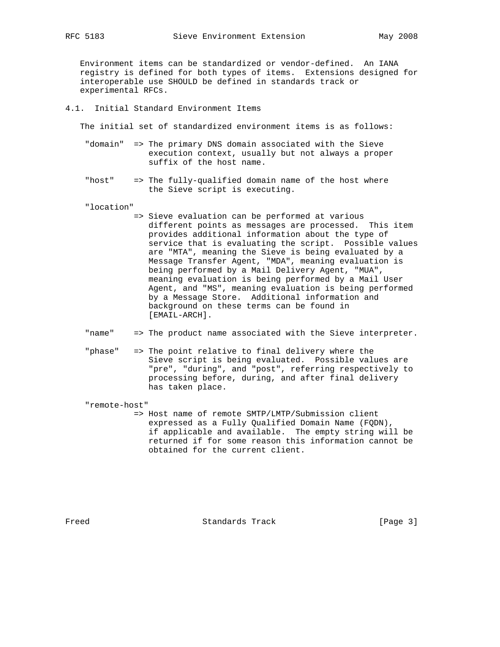Environment items can be standardized or vendor-defined. An IANA registry is defined for both types of items. Extensions designed for

 interoperable use SHOULD be defined in standards track or experimental RFCs.

#### 4.1. Initial Standard Environment Items

The initial set of standardized environment items is as follows:

- "domain" => The primary DNS domain associated with the Sieve execution context, usually but not always a proper suffix of the host name.
- "host" => The fully-qualified domain name of the host where the Sieve script is executing.

"location"

- => Sieve evaluation can be performed at various different points as messages are processed. This item provides additional information about the type of service that is evaluating the script. Possible values are "MTA", meaning the Sieve is being evaluated by a Message Transfer Agent, "MDA", meaning evaluation is being performed by a Mail Delivery Agent, "MUA", meaning evaluation is being performed by a Mail User Agent, and "MS", meaning evaluation is being performed by a Message Store. Additional information and background on these terms can be found in [EMAIL-ARCH].
- "name" => The product name associated with the Sieve interpreter.
- "phase" => The point relative to final delivery where the Sieve script is being evaluated. Possible values are "pre", "during", and "post", referring respectively to processing before, during, and after final delivery has taken place.

"remote-host"

 => Host name of remote SMTP/LMTP/Submission client expressed as a Fully Qualified Domain Name (FQDN), if applicable and available. The empty string will be returned if for some reason this information cannot be obtained for the current client.

Freed Standards Track [Page 3]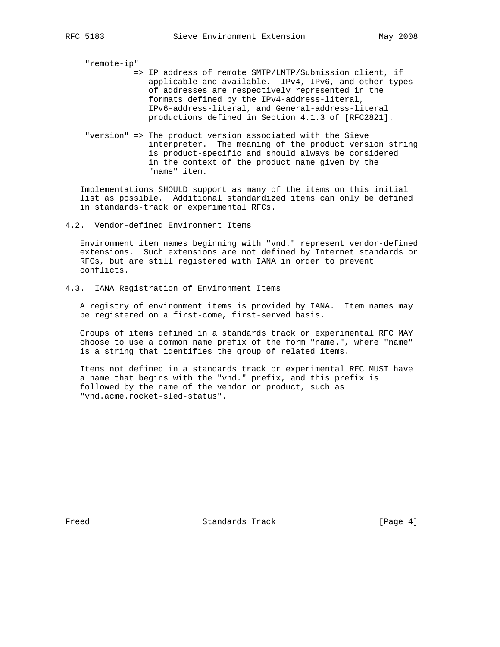"remote-ip"

- => IP address of remote SMTP/LMTP/Submission client, if applicable and available. IPv4, IPv6, and other types of addresses are respectively represented in the formats defined by the IPv4-address-literal, IPv6-address-literal, and General-address-literal productions defined in Section 4.1.3 of [RFC2821].
- "version" => The product version associated with the Sieve interpreter. The meaning of the product version string is product-specific and should always be considered in the context of the product name given by the "name" item.

 Implementations SHOULD support as many of the items on this initial list as possible. Additional standardized items can only be defined in standards-track or experimental RFCs.

4.2. Vendor-defined Environment Items

 Environment item names beginning with "vnd." represent vendor-defined extensions. Such extensions are not defined by Internet standards or RFCs, but are still registered with IANA in order to prevent conflicts.

4.3. IANA Registration of Environment Items

 A registry of environment items is provided by IANA. Item names may be registered on a first-come, first-served basis.

 Groups of items defined in a standards track or experimental RFC MAY choose to use a common name prefix of the form "name.", where "name" is a string that identifies the group of related items.

 Items not defined in a standards track or experimental RFC MUST have a name that begins with the "vnd." prefix, and this prefix is followed by the name of the vendor or product, such as "vnd.acme.rocket-sled-status".

Freed Standards Track [Page 4]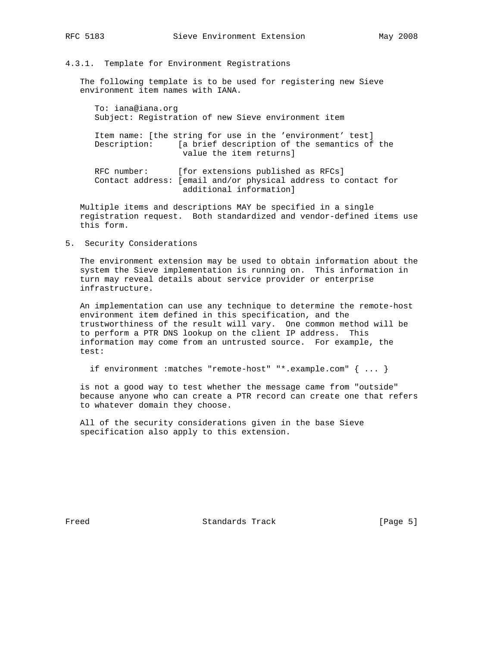### 4.3.1. Template for Environment Registrations

 The following template is to be used for registering new Sieve environment item names with IANA.

 To: iana@iana.org Subject: Registration of new Sieve environment item

 Item name: [the string for use in the 'environment' test] Description: [a brief description of the semantics of the value the item returns]

RFC number: [for extensions published as RFCs] Contact address: [email and/or physical address to contact for additional information]

 Multiple items and descriptions MAY be specified in a single registration request. Both standardized and vendor-defined items use this form.

5. Security Considerations

 The environment extension may be used to obtain information about the system the Sieve implementation is running on. This information in turn may reveal details about service provider or enterprise infrastructure.

 An implementation can use any technique to determine the remote-host environment item defined in this specification, and the trustworthiness of the result will vary. One common method will be to perform a PTR DNS lookup on the client IP address. This information may come from an untrusted source. For example, the test:

if environment :matches "remote-host" "\*.example.com" { ... }

 is not a good way to test whether the message came from "outside" because anyone who can create a PTR record can create one that refers to whatever domain they choose.

 All of the security considerations given in the base Sieve specification also apply to this extension.

Freed Standards Track [Page 5]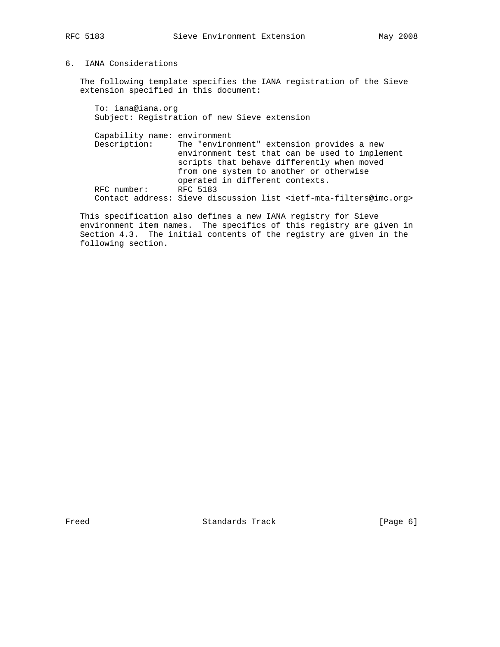## 6. IANA Considerations

 The following template specifies the IANA registration of the Sieve extension specified in this document:

 To: iana@iana.org Subject: Registration of new Sieve extension Capability name: environment Description: The "environment" extension provides a new environment test that can be used to implement scripts that behave differently when moved from one system to another or otherwise operated in different contexts. RFC number: RFC 5183 Contact address: Sieve discussion list <ietf-mta-filters@imc.org>

 This specification also defines a new IANA registry for Sieve environment item names. The specifics of this registry are given in Section 4.3. The initial contents of the registry are given in the following section.

Freed Standards Track [Page 6]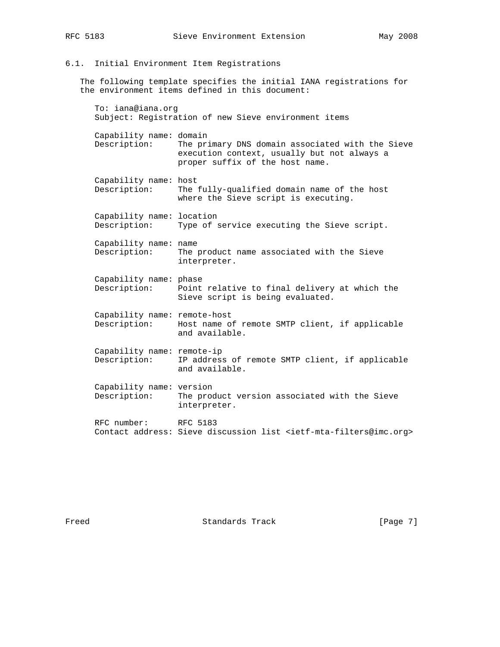## 6.1. Initial Environment Item Registrations

 The following template specifies the initial IANA registrations for the environment items defined in this document:

 To: iana@iana.org Subject: Registration of new Sieve environment items Capability name: domain Description: The primary DNS domain associated with the Sieve execution context, usually but not always a proper suffix of the host name. Capability name: host Description: The fully-qualified domain name of the host where the Sieve script is executing. Capability name: location Description: Type of service executing the Sieve script. Capability name: name Description: The product name associated with the Sieve interpreter. Capability name: phase Description: Point relative to final delivery at which the Sieve script is being evaluated. Capability name: remote-host Description: Host name of remote SMTP client, if applicable and available. Capability name: remote-ip Description: IP address of remote SMTP client, if applicable and available. Capability name: version Description: The product version associated with the Sieve interpreter. RFC number: RFC 5183 Contact address: Sieve discussion list <ietf-mta-filters@imc.org>

Freed Standards Track [Page 7]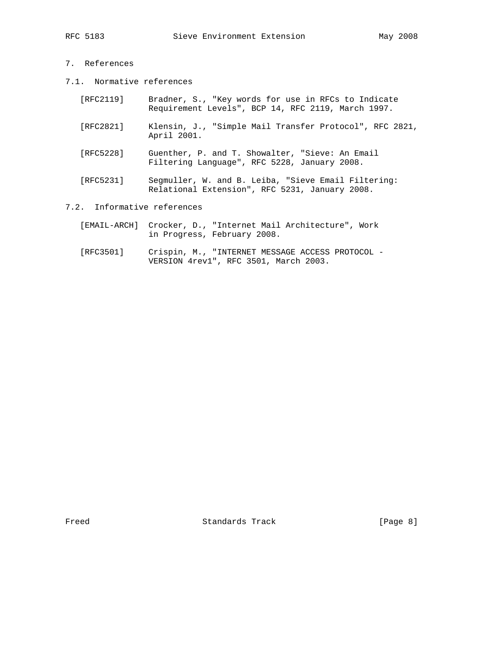- 7. References
- 7.1. Normative references

| [RFC2119]                   | Bradner, S., "Key words for use in RFCs to Indicate<br>Requirement Levels", BCP 14, RFC 2119, March 1997. |
|-----------------------------|-----------------------------------------------------------------------------------------------------------|
| [RFC2821]                   | Klensin, J., "Simple Mail Transfer Protocol", RFC 2821,<br>April 2001.                                    |
| [RFC5228]                   | Guenther, P. and T. Showalter, "Sieve: An Email<br>Filtering Language", RFC 5228, January 2008.           |
| [RFC5231]                   | Segmuller, W. and B. Leiba, "Sieve Email Filtering:<br>Relational Extension", RFC 5231, January 2008.     |
| 7.2. Informative references |                                                                                                           |

- [EMAIL-ARCH] Crocker, D., "Internet Mail Architecture", Work in Progress, February 2008.
- [RFC3501] Crispin, M., "INTERNET MESSAGE ACCESS PROTOCOL -VERSION 4rev1", RFC 3501, March 2003.

Standards Track [Page 8]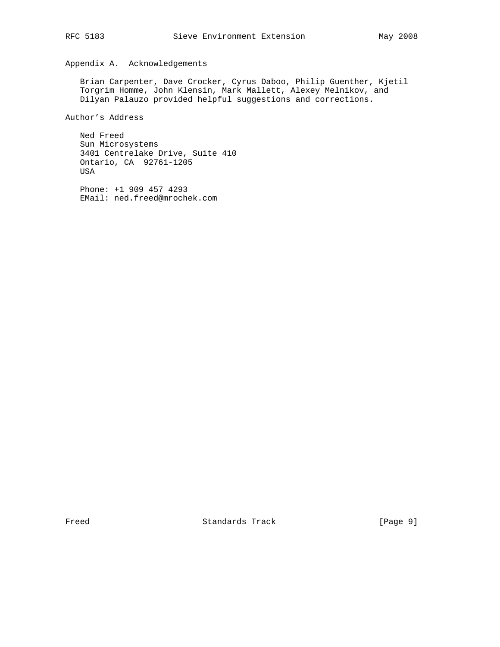# Appendix A. Acknowledgements

 Brian Carpenter, Dave Crocker, Cyrus Daboo, Philip Guenther, Kjetil Torgrim Homme, John Klensin, Mark Mallett, Alexey Melnikov, and Dilyan Palauzo provided helpful suggestions and corrections.

Author's Address

 Ned Freed Sun Microsystems 3401 Centrelake Drive, Suite 410 Ontario, CA 92761-1205 USA

 Phone: +1 909 457 4293 EMail: ned.freed@mrochek.com

Freed Standards Track [Page 9]